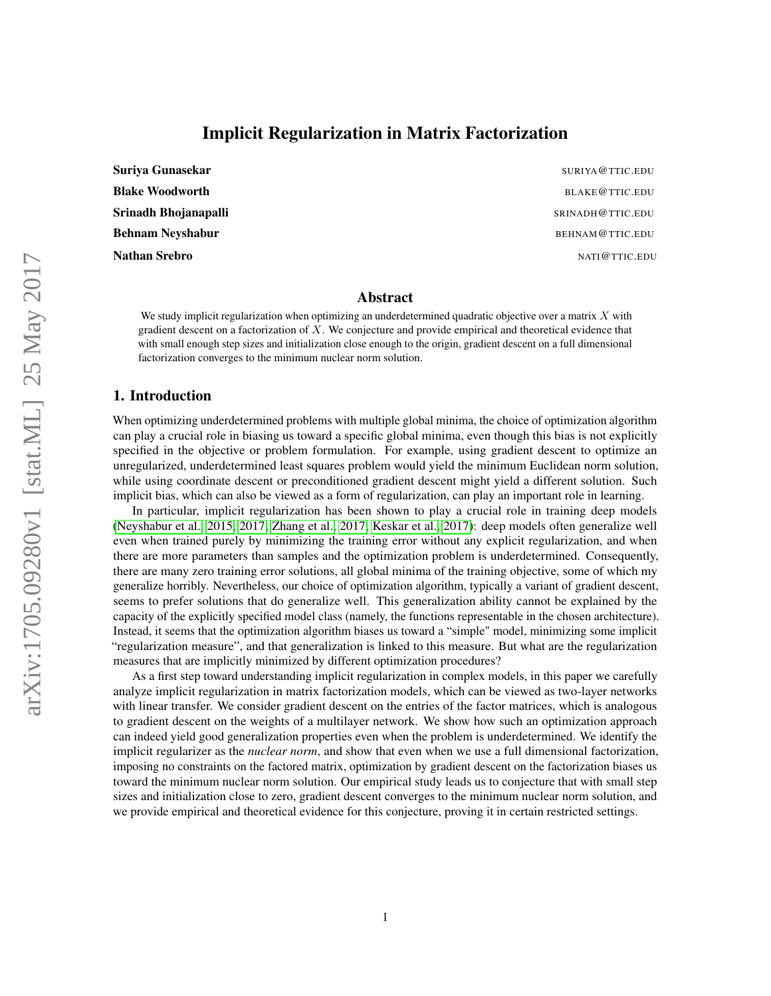# Implicit Regularization in Matrix Factorization

| Suriya Gunasekar        |
|-------------------------|
| <b>Blake Woodworth</b>  |
| Srinadh Bhojanapalli    |
| <b>Behnam Neyshabur</b> |
| <b>Nathan Srebro</b>    |

SURIYA@TTIC.EDU BLAKE@TTIC.EDU SRINADH@TTIC.EDU BEHNAM@TTIC.EDU NATI@TTIC.EDU

#### Abstract

We study implicit regularization when optimizing an underdetermined quadratic objective over a matrix  $X$  with gradient descent on a factorization of  $X$ . We conjecture and provide empirical and theoretical evidence that with small enough step sizes and initialization close enough to the origin, gradient descent on a full dimensional factorization converges to the minimum nuclear norm solution.

#### 1. Introduction

When optimizing underdetermined problems with multiple global minima, the choice of optimization algorithm can play a crucial role in biasing us toward a specific global minima, even though this bias is not explicitly specified in the objective or problem formulation. For example, using gradient descent to optimize an unregularized, underdetermined least squares problem would yield the minimum Euclidean norm solution, while using coordinate descent or preconditioned gradient descent might yield a different solution. Such implicit bias, which can also be viewed as a form of regularization, can play an important role in learning.

In particular, implicit regularization has been shown to play a crucial role in training deep models [\(Neyshabur et al., 2015,](#page-9-0) [2017;](#page-9-1) [Zhang et al., 2017;](#page-9-2) [Keskar et al., 2017\)](#page-9-3): deep models often generalize well even when trained purely by minimizing the training error without any explicit regularization, and when there are more parameters than samples and the optimization problem is underdetermined. Consequently, there are many zero training error solutions, all global minima of the training objective, some of which my generalize horribly. Nevertheless, our choice of optimization algorithm, typically a variant of gradient descent, seems to prefer solutions that do generalize well. This generalization ability cannot be explained by the capacity of the explicitly specified model class (namely, the functions representable in the chosen architecture). Instead, it seems that the optimization algorithm biases us toward a "simple" model, minimizing some implicit "regularization measure", and that generalization is linked to this measure. But what are the regularization measures that are implicitly minimized by different optimization procedures?

As a first step toward understanding implicit regularization in complex models, in this paper we carefully analyze implicit regularization in matrix factorization models, which can be viewed as two-layer networks with linear transfer. We consider gradient descent on the entries of the factor matrices, which is analogous to gradient descent on the weights of a multilayer network. We show how such an optimization approach can indeed yield good generalization properties even when the problem is underdetermined. We identify the implicit regularizer as the *nuclear norm*, and show that even when we use a full dimensional factorization, imposing no constraints on the factored matrix, optimization by gradient descent on the factorization biases us toward the minimum nuclear norm solution. Our empirical study leads us to conjecture that with small step sizes and initialization close to zero, gradient descent converges to the minimum nuclear norm solution, and we provide empirical and theoretical evidence for this conjecture, proving it in certain restricted settings.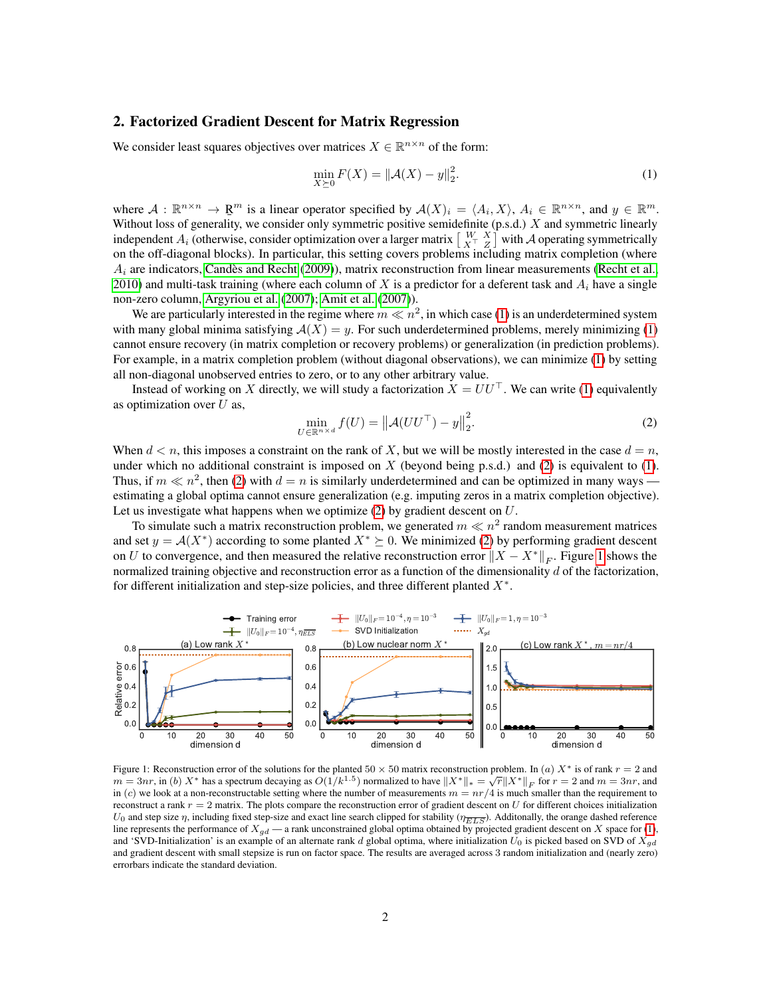### <span id="page-1-3"></span>2. Factorized Gradient Descent for Matrix Regression

We consider least squares objectives over matrices  $X \in \mathbb{R}^{n \times n}$  of the form:

<span id="page-1-0"></span>
$$
\min_{X \succeq 0} F(X) = ||\mathcal{A}(X) - y||_2^2.
$$
\n(1)

where  $A: \mathbb{R}^{n \times n} \to \mathbb{R}^m$  is a linear operator specified by  $A(X)_i = \langle A_i, X \rangle$ ,  $A_i \in \mathbb{R}^{n \times n}$ , and  $y \in \mathbb{R}^m$ . Without loss of generality, we consider only symmetric positive semidefinite (p.s.d.) X and symmetric linearly independent  $A_i$  (otherwise, consider optimization over a larger matrix  $\left[\begin{array}{cc} W & X \\ X^T & Z \end{array}\right]$  with  $A$  operating symmetrically on the off-diagonal blocks). In particular, this setting covers problems including matrix completion (where  $A_i$  are indicators, [Candès and Recht](#page-9-4) [\(2009\)](#page-9-4)), matrix reconstruction from linear measurements [\(Recht et al.,](#page-9-5) [2010\)](#page-9-5) and multi-task training (where each column of X is a predictor for a deferent task and  $A_i$  have a single non-zero column, [Argyriou et al.](#page-9-6) [\(2007\)](#page-9-6); [Amit et al.](#page-9-7) [\(2007\)](#page-9-7)).

We are particularly interested in the regime where  $m \ll n^2$ , in which case [\(1\)](#page-1-0) is an underdetermined system with many global minima satisfying  $A(X) = y$ . For such underdetermined problems, merely minimizing [\(1\)](#page-1-0) cannot ensure recovery (in matrix completion or recovery problems) or generalization (in prediction problems). For example, in a matrix completion problem (without diagonal observations), we can minimize [\(1\)](#page-1-0) by setting all non-diagonal unobserved entries to zero, or to any other arbitrary value.

Instead of working on X directly, we will study a factorization  $X = U U^{\top}$ . We can write [\(1\)](#page-1-0) equivalently as optimization over  $U$  as,

<span id="page-1-1"></span>
$$
\min_{U \in \mathbb{R}^{n \times d}} f(U) = ||\mathcal{A}(UU^{\top}) - y||_2^2.
$$
\n(2)

When  $d < n$ , this imposes a constraint on the rank of X, but we will be mostly interested in the case  $d = n$ , under which no additional constraint is imposed on X (beyond being p.s.d.) and [\(2\)](#page-1-1) is equivalent to [\(1\)](#page-1-0). Thus, if  $m \ll n^2$ , then [\(2\)](#page-1-1) with  $d = n$  is similarly underdetermined and can be optimized in many ways estimating a global optima cannot ensure generalization (e.g. imputing zeros in a matrix completion objective). Let us investigate what happens when we optimize  $(2)$  by gradient descent on  $U$ .

To simulate such a matrix reconstruction problem, we generated  $m \ll n^2$  random measurement matrices and set  $y = A(X^*)$  according to some planted  $X^* \succeq 0$ . We minimized [\(2\)](#page-1-1) by performing gradient descent on U to convergence, and then measured the relative reconstruction error  $||X - X^*||_F$ . Figure [1](#page-1-2) shows the normalized training objective and reconstruction error as a function of the dimensionality  $d$  of the factorization, for different initialization and step-size policies, and three different planted  $X^*$ .

<span id="page-1-2"></span>

Figure 1: Reconstruction error of the solutions for the planted 50  $\times$  50 matrix reconstruction problem. In (a)  $X^*$  is of rank  $r = 2$  and rigure 1: Reconstruction error of the solutions for the planted 30 × 30 matrix reconstruction problem. In (a)  $X^*$  is of rains  $r = 2$  and  $m = 3nr$ , in (b)  $X^*$  has a spectrum decaying as  $O(1/k^{1.5})$  normalized to have  $||$ in (c) we look at a non-reconstructable setting where the number of measurements  $m = nr/4$  is much smaller than the requirement to reconstruct a rank  $r = 2$  matrix. The plots compare the reconstruction error of gradient descent on U for different choices initialization  $U_0$  and step size  $\eta$ , including fixed step-size and exact line search clipped for stability ( $\eta_{\overline{ELS}}$ ). Additonally, the orange dashed reference line represents the performance of  $X_{gd}$  — a rank unconstrained global optima obtained by projected gradient descent on X space for [\(1\)](#page-1-0), and 'SVD-Initialization' is an example of an alternate rank d global optima, where initialization  $U_0$  is picked based on SVD of  $X_{ad}$ and gradient descent with small stepsize is run on factor space. The results are averaged across 3 random initialization and (nearly zero) errorbars indicate the standard deviation.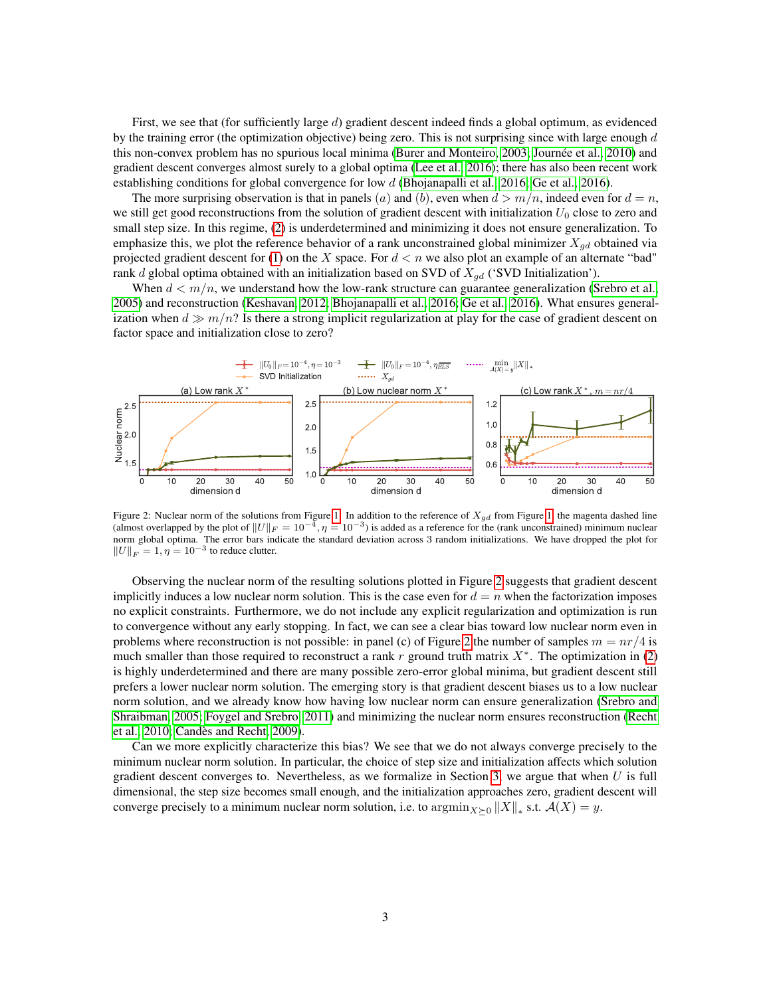First, we see that (for sufficiently large d) gradient descent indeed finds a global optimum, as evidenced by the training error (the optimization objective) being zero. This is not surprising since with large enough  $d$ this non-convex problem has no spurious local minima [\(Burer and Monteiro, 2003;](#page-9-8) [Journée et al., 2010\)](#page-9-9) and gradient descent converges almost surely to a global optima [\(Lee et al., 2016\)](#page-9-10); there has also been recent work establishing conditions for global convergence for low d [\(Bhojanapalli et al., 2016;](#page-9-11) [Ge et al., 2016\)](#page-9-12).

The more surprising observation is that in panels (a) and (b), even when  $d > m/n$ , indeed even for  $d = n$ , we still get good reconstructions from the solution of gradient descent with initialization  $U_0$  close to zero and small step size. In this regime, [\(2\)](#page-1-1) is underdetermined and minimizing it does not ensure generalization. To emphasize this, we plot the reference behavior of a rank unconstrained global minimizer  $X_{gd}$  obtained via projected gradient descent for [\(1\)](#page-1-0) on the X space. For  $d < n$  we also plot an example of an alternate "bad" rank d global optima obtained with an initialization based on SVD of  $X_{qd}$  ('SVD Initialization').

When  $d < m/n$ , we understand how the low-rank structure can guarantee generalization [\(Srebro et al.,](#page-9-13) [2005\)](#page-9-13) and reconstruction [\(Keshavan, 2012;](#page-9-14) [Bhojanapalli et al., 2016;](#page-9-11) [Ge et al., 2016\)](#page-9-12). What ensures generalization when  $d \gg m/n$ ? Is there a strong implicit regularization at play for the case of gradient descent on factor space and initialization close to zero?

<span id="page-2-0"></span>

Figure 2: Nuclear norm of the solutions from Figure [1.](#page-1-2) In addition to the reference of  $X_{gd}$  from Figure [1,](#page-1-2) the magenta dashed line (almost overlapped by the plot of  $||U||_F = 10^{-4}$ ,  $\eta = 10^{-3}$ ) is added as a reference for the (rank unconstrained) minimum nuclear norm global optima. The error bars indicate the standard deviation across 3 random initializations. We have dropped the plot for  $\|U\|_F = 1, \eta = 10^{-3}$  to reduce clutter.

Observing the nuclear norm of the resulting solutions plotted in Figure [2](#page-2-0) suggests that gradient descent implicitly induces a low nuclear norm solution. This is the case even for  $d = n$  when the factorization imposes no explicit constraints. Furthermore, we do not include any explicit regularization and optimization is run to convergence without any early stopping. In fact, we can see a clear bias toward low nuclear norm even in problems where reconstruction is not possible: in panel (c) of Figure [2](#page-2-0) the number of samples  $m = nr/4$  is much smaller than those required to reconstruct a rank r ground truth matrix  $X^*$ . The optimization in [\(2\)](#page-1-1) is highly underdetermined and there are many possible zero-error global minima, but gradient descent still prefers a lower nuclear norm solution. The emerging story is that gradient descent biases us to a low nuclear norm solution, and we already know how having low nuclear norm can ensure generalization [\(Srebro and](#page-9-15) [Shraibman, 2005;](#page-9-15) [Foygel and Srebro, 2011\)](#page-9-16) and minimizing the nuclear norm ensures reconstruction [\(Recht](#page-9-5) [et al., 2010;](#page-9-5) [Candès and Recht, 2009\)](#page-9-4).

Can we more explicitly characterize this bias? We see that we do not always converge precisely to the minimum nuclear norm solution. In particular, the choice of step size and initialization affects which solution gradient descent converges to. Nevertheless, as we formalize in Section [3,](#page-3-0) we argue that when  $U$  is full dimensional, the step size becomes small enough, and the initialization approaches zero, gradient descent will converge precisely to a minimum nuclear norm solution, i.e. to  $\operatorname{argmin}_{X \succeq 0} \|X\|_*$  s.t.  $\mathcal{A}(X) = y$ .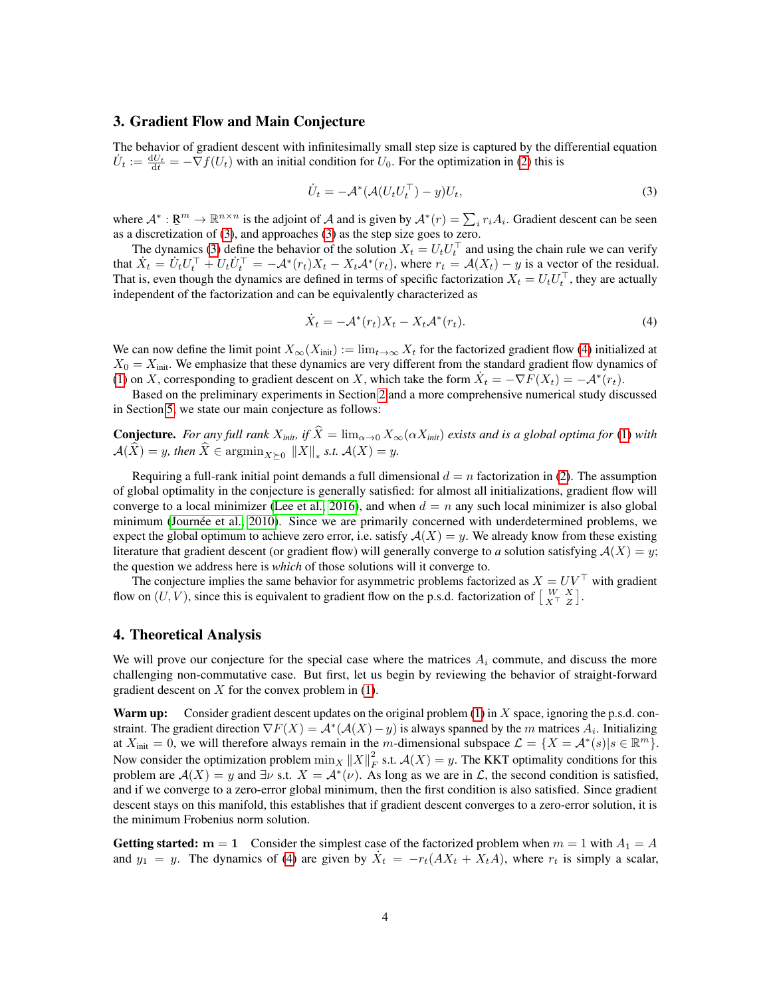#### <span id="page-3-0"></span>3. Gradient Flow and Main Conjecture

The behavior of gradient descent with infinitesimally small step size is captured by the differential equation  $U_t := \frac{dU_t}{dt} = -\nabla f(U_t)$  with an initial condition for  $U_0$ . For the optimization in [\(2\)](#page-1-1) this is

<span id="page-3-1"></span>
$$
\dot{U}_t = -\mathcal{A}^*(\mathcal{A}(U_t U_t^\top) - y)U_t,\tag{3}
$$

where  $\mathcal{A}^*: \mathbb{R}^m \to \mathbb{R}^{n \times n}$  is the adjoint of  $\mathcal{A}$  and is given by  $\mathcal{A}^*(r) = \sum_i r_i A_i$ . Gradient descent can be seen as a discretization of [\(3\)](#page-3-1), and approaches (3) as the step size goes to zero.

The dynamics [\(3\)](#page-3-1) define the behavior of the solution  $X_t = U_t U_t^\top$  and using the chain rule we can verify that  $\dot{X}_t = \dot{U}_t U_t^\top + U_t \dot{U}_t^\top = -\mathcal{A}^*(r_t) X_t - X_t \mathcal{A}^*(r_t)$ , where  $r_t = \mathcal{A}(X_t) - y$  is a vector of the residual. That is, even though the dynamics are defined in terms of specific factorization  $X_t = U_t U_t^{\top}$ , they are actually independent of the factorization and can be equivalently characterized as

<span id="page-3-2"></span>
$$
\dot{X}_t = -\mathcal{A}^*(r_t)X_t - X_t\mathcal{A}^*(r_t). \tag{4}
$$

We can now define the limit point  $X_\infty(X_{\text{init}}) := \lim_{t\to\infty} X_t$  for the factorized gradient flow [\(4\)](#page-3-2) initialized at  $X_0 = X_{\text{init}}$ . We emphasize that these dynamics are very different from the standard gradient flow dynamics of [\(1\)](#page-1-0) on X, corresponding to gradient descent on X, which take the form  $\dot{X}_t = -\nabla F(X_t) = -\mathcal{A}^*(r_t)$ .

Based on the preliminary experiments in Section [2](#page-1-3) and a more comprehensive numerical study discussed in Section [5,](#page-5-0) we state our main conjecture as follows:

**Conjecture.** For any full rank  $X_{init}$ , if  $\hat{X} = \lim_{\alpha \to 0} X_{\infty}(\alpha X_{init})$  exists and is a global optima for [\(1\)](#page-1-0) with  $\mathcal{A}(X) = y$ *, then*  $X \in \operatorname{argmin}_{X \succeq 0} \|X\|_*$  *s.t.*  $\mathcal{A}(X) = y$ *.* 

Requiring a full-rank initial point demands a full dimensional  $d = n$  factorization in [\(2\)](#page-1-1). The assumption of global optimality in the conjecture is generally satisfied: for almost all initializations, gradient flow will converge to a local minimizer [\(Lee et al., 2016\)](#page-9-10), and when  $d = n$  any such local minimizer is also global minimum [\(Journée et al., 2010\)](#page-9-9). Since we are primarily concerned with underdetermined problems, we expect the global optimum to achieve zero error, i.e. satisfy  $A(X) = y$ . We already know from these existing literature that gradient descent (or gradient flow) will generally converge to *a* solution satisfying  $A(X) = y$ ; the question we address here is *which* of those solutions will it converge to.

The conjecture implies the same behavior for asymmetric problems factorized as  $X = UV^{\top}$  with gradient flow on  $(U, V)$ , since this is equivalent to gradient flow on the p.s.d. factorization of  $\begin{bmatrix} W & X \ X^T & Z \end{bmatrix}$ .

#### 4. Theoretical Analysis

We will prove our conjecture for the special case where the matrices  $A_i$  commute, and discuss the more challenging non-commutative case. But first, let us begin by reviewing the behavior of straight-forward gradient descent on  $X$  for the convex problem in [\(1\)](#page-1-0).

**Warm up:** Consider gradient descent updates on the original problem  $(1)$  in X space, ignoring the p.s.d. constraint. The gradient direction  $\nabla F(X) = \mathcal{A}^*(\mathcal{A}(X) - y)$  is always spanned by the m matrices  $A_i$ . Initializing at  $X_{\text{init}} = 0$ , we will therefore always remain in the m-dimensional subspace  $\mathcal{L} = \{X = \mathcal{A}^*(s) | s \in \mathbb{R}^m\}.$ Now consider the optimization problem  $\min_X ||X||_F^2$  s.t.  $\mathcal{A}(X) = y$ . The KKT optimality conditions for this problem are  $A(X) = y$  and  $\exists \nu$  s.t.  $X = A^*(\nu)$ . As long as we are in  $\mathcal{L}$ , the second condition is satisfied, and if we converge to a zero-error global minimum, then the first condition is also satisfied. Since gradient descent stays on this manifold, this establishes that if gradient descent converges to a zero-error solution, it is the minimum Frobenius norm solution.

Getting started:  $m = 1$  Consider the simplest case of the factorized problem when  $m = 1$  with  $A_1 = A$ and  $y_1 = y$ . The dynamics of [\(4\)](#page-3-2) are given by  $\dot{X}_t = -r_t(AX_t + X_tA)$ , where  $r_t$  is simply a scalar,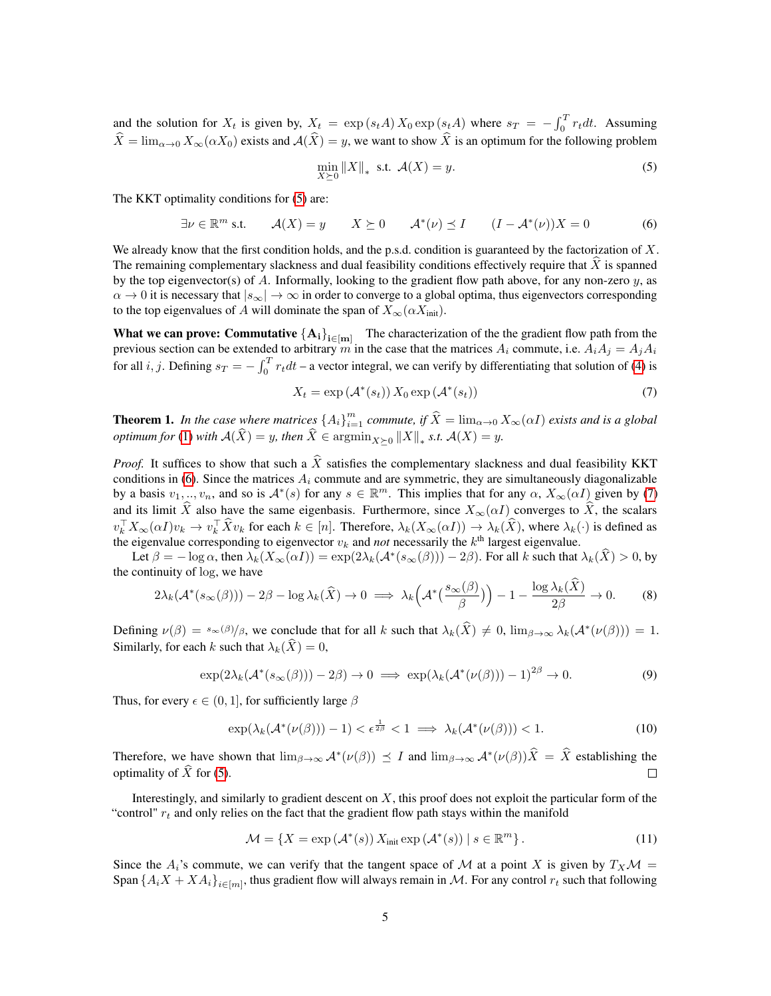and the solution for  $X_t$  is given by,  $X_t = \exp(s_t A) X_0 \exp(s_t A)$  where  $s_T = -\int_0^T r_t dt$ . Assuming  $\widehat{X} = \lim_{\alpha \to 0} X_\infty(\alpha X_0)$  exists and  $\mathcal{A}(\widehat{X}) = y$ , we want to show  $\widehat{X}$  is an optimum for the following problem

<span id="page-4-0"></span>
$$
\min_{X \succeq 0} \|X\|_{*} \text{ s.t. } \mathcal{A}(X) = y. \tag{5}
$$

The KKT optimality conditions for  $(5)$  are:

<span id="page-4-1"></span>
$$
\exists \nu \in \mathbb{R}^m \text{ s.t. } \mathcal{A}(X) = y \qquad X \succeq 0 \qquad \mathcal{A}^*(\nu) \preceq I \qquad (I - \mathcal{A}^*(\nu))X = 0 \tag{6}
$$

We already know that the first condition holds, and the p.s.d. condition is guaranteed by the factorization of  $X$ . The remaining complementary slackness and dual feasibility conditions effectively require that  $X$  is spanned by the top eigenvector(s) of A. Informally, looking to the gradient flow path above, for any non-zero  $y$ , as  $\alpha \to 0$  it is necessary that  $|s_{\infty}| \to \infty$  in order to converge to a global optima, thus eigenvectors corresponding to the top eigenvalues of A will dominate the span of  $X_{\infty}(\alpha X_{\text{init}})$ .

**What we can prove: Commutative**  ${A_i}_{i \in [m]}$  The characterization of the the gradient flow path from the previous section can be extended to arbitrary m in the case that the matrices  $A_i$  commute, i.e.  $A_iA_j = A_jA_i$ for all *i*, *j*. Defining  $s_T = -\int_0^T r_t dt$  – a vector integral, we can verify by differentiating that solution of [\(4\)](#page-3-2) is

<span id="page-4-2"></span>
$$
X_t = \exp\left(\mathcal{A}^*(s_t)\right) X_0 \exp\left(\mathcal{A}^*(s_t)\right) \tag{7}
$$

**Theorem 1.** In the case where matrices  $\{A_i\}_{i=1}^m$  commute, if  $\widehat{X} = \lim_{\alpha \to 0} X_\infty(\alpha I)$  exists and is a global *optimum for* [\(1\)](#page-1-0) *with*  $A(X) = y$ *, then*  $X \in \operatorname{argmin}_{X \succeq 0} ||X||_*$  *s.t.*  $A(X) = y$ *.* 

*Proof.* It suffices to show that such a  $\widehat{X}$  satisfies the complementary slackness and dual feasibility KKT conditions in [\(6\)](#page-4-1). Since the matrices  $A_i$  commute and are symmetric, they are simultaneously diagonalizable by a basis  $v_1, ..., v_n$ , and so is  $\mathcal{A}^*(s)$  for any  $s \in \mathbb{R}^m$ . This implies that for any  $\alpha$ ,  $X_\infty(\alpha I)$  given by [\(7\)](#page-4-2) and its limit  $\hat{X}$  also have the same eigenbasis. Furthermore, since  $X_{\infty}(\alpha I)$  converges to  $\hat{X}$ , the scalars  $v_k^{\top} X_{\infty}(\alpha I) v_k \to v_k^{\top} \hat{X} v_k$  for each  $k \in [n]$ . Therefore,  $\lambda_k(X_{\infty}(\alpha I)) \to \lambda_k(\hat{X})$ , where  $\lambda_k(\cdot)$  is defined as the eigenvalue corresponding to eigenvector  $v_k$  and *not* necessarily the  $k<sup>th</sup>$  largest eigenvalue.

Let  $\beta = -\log \alpha$ , then  $\lambda_k(X_\infty(\alpha I)) = \exp(2\lambda_k(\mathcal{A}^*(s_\infty(\beta))) - 2\beta)$ . For all k such that  $\lambda_k(\hat{X}) > 0$ , by the continuity of log, we have

$$
2\lambda_k(\mathcal{A}^*(s_{\infty}(\beta))) - 2\beta - \log \lambda_k(\widehat{X}) \to 0 \implies \lambda_k\left(\mathcal{A}^*\left(\frac{s_{\infty}(\beta)}{\beta}\right)\right) - 1 - \frac{\log \lambda_k(X)}{2\beta} \to 0. \tag{8}
$$

Defining  $\nu(\beta) = s_{\infty}(\beta)/\beta$ , we conclude that for all k such that  $\lambda_k(\hat{X}) \neq 0$ ,  $\lim_{\beta \to \infty} \lambda_k(\mathcal{A}^*(\nu(\beta))) = 1$ . Similarly, for each k such that  $\lambda_k(\hat{X}) = 0$ ,

$$
\exp(2\lambda_k(\mathcal{A}^*(s_{\infty}(\beta))) - 2\beta) \to 0 \implies \exp(\lambda_k(\mathcal{A}^*(\nu(\beta))) - 1)^{2\beta} \to 0. \tag{9}
$$

Thus, for every  $\epsilon \in (0, 1]$ , for sufficiently large  $\beta$ 

$$
\exp(\lambda_k(\mathcal{A}^*(\nu(\beta)))-1) < \epsilon^{\frac{1}{2\beta}} < 1 \implies \lambda_k(\mathcal{A}^*(\nu(\beta))) < 1. \tag{10}
$$

Therefore, we have shown that  $\lim_{\beta\to\infty} \mathcal{A}^*(\nu(\beta)) \preceq I$  and  $\lim_{\beta\to\infty} \mathcal{A}^*(\nu(\beta))\hat{X} = \hat{X}$  establishing the optimality of  $\hat{X}$  for [\(5\)](#page-4-0).

Interestingly, and similarly to gradient descent on  $X$ , this proof does not exploit the particular form of the "control"  $r_t$  and only relies on the fact that the gradient flow path stays within the manifold

<span id="page-4-3"></span>
$$
\mathcal{M} = \{ X = \exp\left(\mathcal{A}^*(s)\right) X_{\text{init}} \exp\left(\mathcal{A}^*(s)\right) \mid s \in \mathbb{R}^m \}.
$$
\n(11)

Since the  $A_i$ 's commute, we can verify that the tangent space of M at a point X is given by  $T_XM =$ Span  $\{A_iX+XA_i\}_{i\in[m]}$ , thus gradient flow will always remain in M. For any control  $r_t$  such that following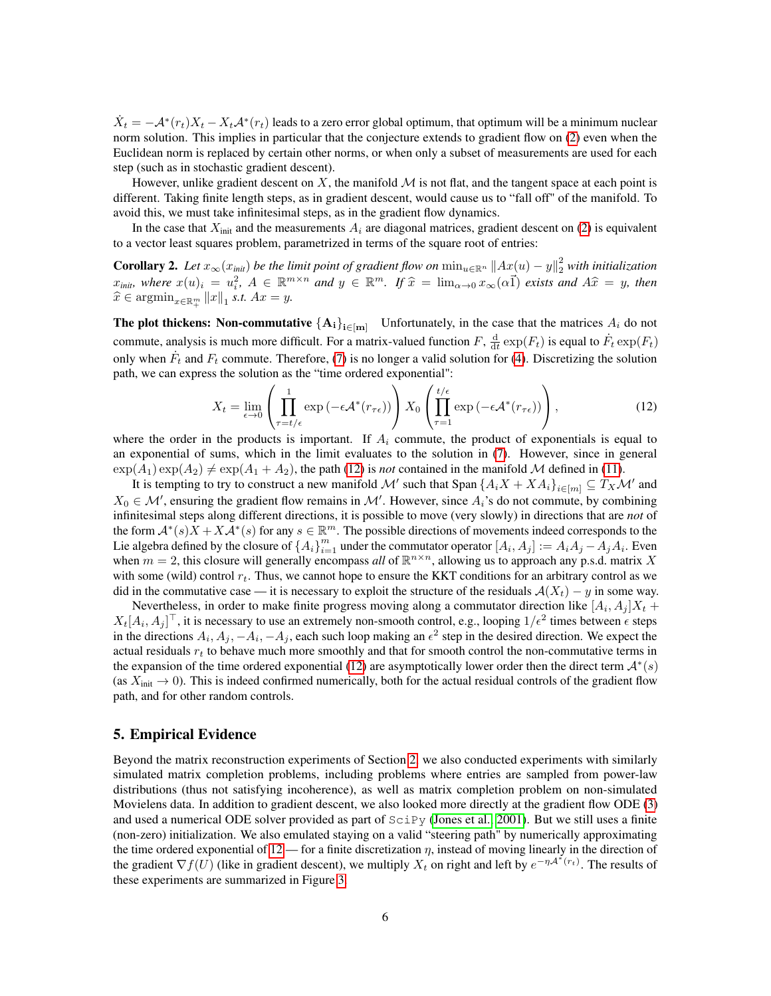$\dot{X}_t = -A^*(r_t)X_t - X_tA^*(r_t)$  leads to a zero error global optimum, that optimum will be a minimum nuclear norm solution. This implies in particular that the conjecture extends to gradient flow on [\(2\)](#page-1-1) even when the Euclidean norm is replaced by certain other norms, or when only a subset of measurements are used for each step (such as in stochastic gradient descent).

However, unlike gradient descent on X, the manifold  $M$  is not flat, and the tangent space at each point is different. Taking finite length steps, as in gradient descent, would cause us to "fall off" of the manifold. To avoid this, we must take infinitesimal steps, as in the gradient flow dynamics.

In the case that  $X_{\text{init}}$  and the measurements  $A_i$  are diagonal matrices, gradient descent on [\(2\)](#page-1-1) is equivalent to a vector least squares problem, parametrized in terms of the square root of entries:

**Corollary 2.** Let  $x_{\infty}(x_{\text{init}})$  be the limit point of gradient flow on  $\min_{u\in\mathbb{R}^n}||Ax(u)-y||_2^2$  with initialization  $x_{\text{init}}$ , where  $x(u)_i = u_i^2$ ,  $A \in \mathbb{R}^{m \times n}$  and  $y \in \mathbb{R}^m$ . If  $\hat{x} = \lim_{\alpha \to 0} x_\infty(\alpha \vec{1})$  exists and  $A\hat{x} = y$ , then  $\widehat{x} \in \operatorname{argmin}_{x \in \mathbb{R}^m_+} ||x||_1 \text{ s.t. } Ax = y.$ 

**The plot thickens: Non-commutative**  ${A_i}_{i \in [m]}$  Unfortunately, in the case that the matrices  $A_i$  do not commute, analysis is much more difficult. For a matrix-valued function  $F$ ,  $\frac{d}{dt} \exp(F_t)$  is equal to  $\dot{F}_t \exp(F_t)$ only when  $\dot{F}_t$  and  $F_t$  commute. Therefore, [\(7\)](#page-4-2) is no longer a valid solution for [\(4\)](#page-3-2). Discretizing the solution path, we can express the solution as the "time ordered exponential":

<span id="page-5-1"></span>
$$
X_t = \lim_{\epsilon \to 0} \left( \prod_{\tau=t/\epsilon}^1 \exp\left(-\epsilon \mathcal{A}^*(r_{\tau\epsilon})\right) \right) X_0 \left( \prod_{\tau=1}^{t/\epsilon} \exp\left(-\epsilon \mathcal{A}^*(r_{\tau\epsilon})\right) \right), \tag{12}
$$

where the order in the products is important. If  $A_i$  commute, the product of exponentials is equal to an exponential of sums, which in the limit evaluates to the solution in [\(7\)](#page-4-2). However, since in general  $\exp(A_1)\exp(A_2) \neq \exp(A_1 + A_2)$ , the path [\(12\)](#page-5-1) is *not* contained in the manifold M defined in [\(11\)](#page-4-3).

It is tempting to try to construct a new manifold  $\mathcal{M}'$  such that Span  $\{A_iX + XA_i\}_{i \in [m]} \subseteq T_X\mathcal{M}'$  and  $X_0 \in \mathcal{M}'$ , ensuring the gradient flow remains in  $\mathcal{M}'$ . However, since  $A_i$ 's do not commute, by combining infinitesimal steps along different directions, it is possible to move (very slowly) in directions that are *not* of the form  $\mathcal{A}^*(s)X + X\mathcal{A}^*(s)$  for any  $s \in \mathbb{R}^m$ . The possible directions of movements indeed corresponds to the Lie algebra defined by the closure of  $\{A_i\}_{i=1}^m$  under the commutator operator  $[A_i, A_j] := A_i A_j - A_j A_i$ . Even when  $m = 2$ , this closure will generally encompass *all* of  $\mathbb{R}^{n \times n}$ , allowing us to approach any p.s.d. matrix X with some (wild) control  $r_t$ . Thus, we cannot hope to ensure the KKT conditions for an arbitrary control as we did in the commutative case — it is necessary to exploit the structure of the residuals  $A(X_t) - y$  in some way.

Nevertheless, in order to make finite progress moving along a commutator direction like  $[A_i, A_j]X_t$  +  $X_t[A_i,A_j]^\top$ , it is necessary to use an extremely non-smooth control, e.g., looping  $1/\epsilon^2$  times between  $\epsilon$  steps in the directions  $A_i, A_j, -A_i, -A_j$ , each such loop making an  $\epsilon^2$  step in the desired direction. We expect the actual residuals  $r_t$  to behave much more smoothly and that for smooth control the non-commutative terms in the expansion of the time ordered exponential [\(12\)](#page-5-1) are asymptotically lower order then the direct term  $\mathcal{A}^*(s)$ (as  $X_{\text{init}} \to 0$ ). This is indeed confirmed numerically, both for the actual residual controls of the gradient flow path, and for other random controls.

#### <span id="page-5-0"></span>5. Empirical Evidence

Beyond the matrix reconstruction experiments of Section [2,](#page-1-3) we also conducted experiments with similarly simulated matrix completion problems, including problems where entries are sampled from power-law distributions (thus not satisfying incoherence), as well as matrix completion problem on non-simulated Movielens data. In addition to gradient descent, we also looked more directly at the gradient flow ODE [\(3\)](#page-3-1) and used a numerical ODE solver provided as part of  $Scipy$  [\(Jones et al., 2001\)](#page-9-17). But we still uses a finite (non-zero) initialization. We also emulated staying on a valid "steering path" by numerically approximating the time ordered exponential of  $12$  — for a finite discretization  $\eta$ , instead of moving linearly in the direction of the gradient  $\nabla f(U)$  (like in gradient descent), we multiply  $X_t$  on right and left by  $e^{-\eta A^*(r_t)}$ . The results of these experiments are summarized in Figure [3.](#page-6-0)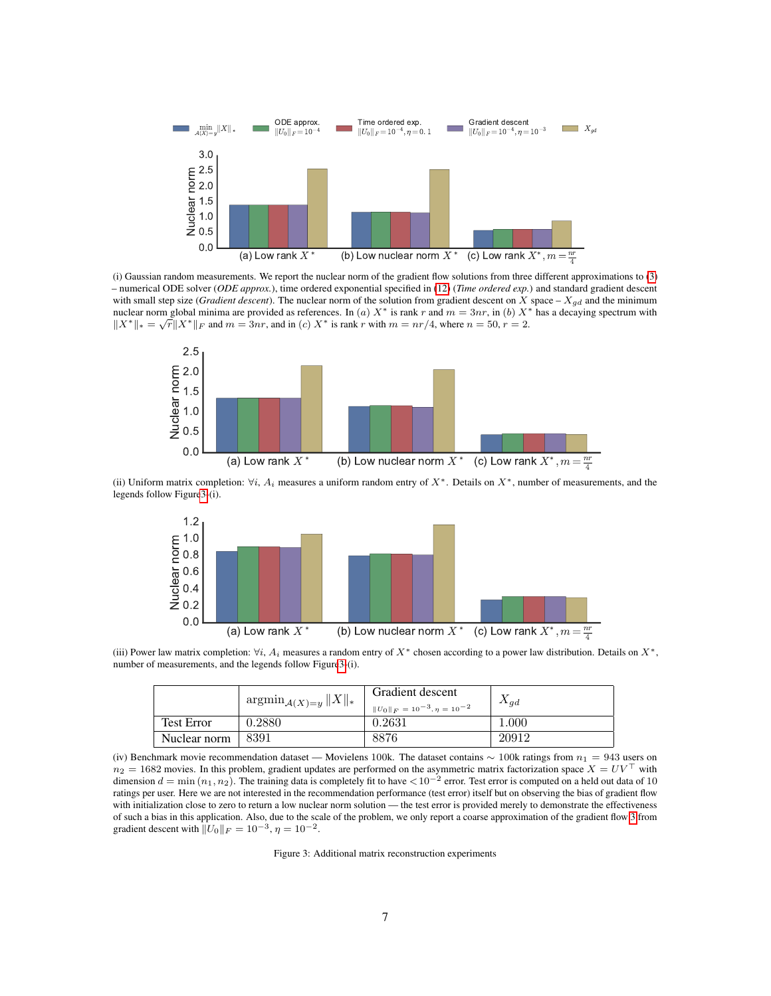<span id="page-6-0"></span>

(i) Gaussian random measurements. We report the nuclear norm of the gradient flow solutions from three different approximations to [\(3\)](#page-3-1) – numerical ODE solver (*ODE approx.*), time ordered exponential specified in [\(12\)](#page-5-1) (*Time ordered exp.*) and standard gradient descent with small step size (*Gradient descent*). The nuclear norm of the solution from gradient descent on X space –  $X_{gd}$  and the minimum nuclear norm global minima are provided as references. In (a)  $X^*$  is rank r and  $m = 3nr$ , in (b)  $X^*$  has a decaying spectrum with  $||X^*||_* = \sqrt{r}||X^*||_F$  and  $m = 3nr$ , and in (c)  $X^*$  is rank r with  $m = nr/4$ , where  $n = 50$ ,  $r = 2$ .



(ii) Uniform matrix completion:  $\forall i$ ,  $A_i$  measures a uniform random entry of  $X^*$ . Details on  $X^*$ , number of measurements, and the legends follow Figur[e3-](#page-6-0)(i).



(iii) Power law matrix completion:  $\forall i$ ,  $A_i$  measures a random entry of  $X^*$  chosen according to a power law distribution. Details on  $X^*$ , number of measurements, and the legends follow Figur[e3-](#page-6-0)(i).

|                   | $\limsup_{\mathcal{A}(X)=y}  X  _*$ | Gradient descent                                | $X_{qd}$ |
|-------------------|-------------------------------------|-------------------------------------------------|----------|
| <b>Test Error</b> | 0.2880                              | $  U_0  _F = 10^{-3}, \eta = 10^{-2}$<br>0.2631 | 1.000    |
| Nuclear norm      | 8391                                | 8876                                            | 20912    |

(iv) Benchmark movie recommendation dataset — Movielens 100k. The dataset contains  $\sim 100k$  ratings from  $n_1 = 943$  users on  $n_2 = 1682$  movies. In this problem, gradient updates are performed on the asymmetric matrix factorization space  $X = UV^{\top}$  with dimension  $d = \min(n_1, n_2)$ . The training data is completely fit to have  $\lt 10^{-2}$  error. Test error is computed on a held out data of 10 ratings per user. Here we are not interested in the recommendation performance (test error) itself but on observing the bias of gradient flow with initialization close to zero to return a low nuclear norm solution — the test error is provided merely to demonstrate the effectiveness of such a bias in this application. Also, due to the scale of the problem, we only report a coarse approximation of the gradient flow [3](#page-3-1) from gradient descent with  $||U_0||_F = 10^{-3}$ ,  $\eta = 10^{-2}$ .

Figure 3: Additional matrix reconstruction experiments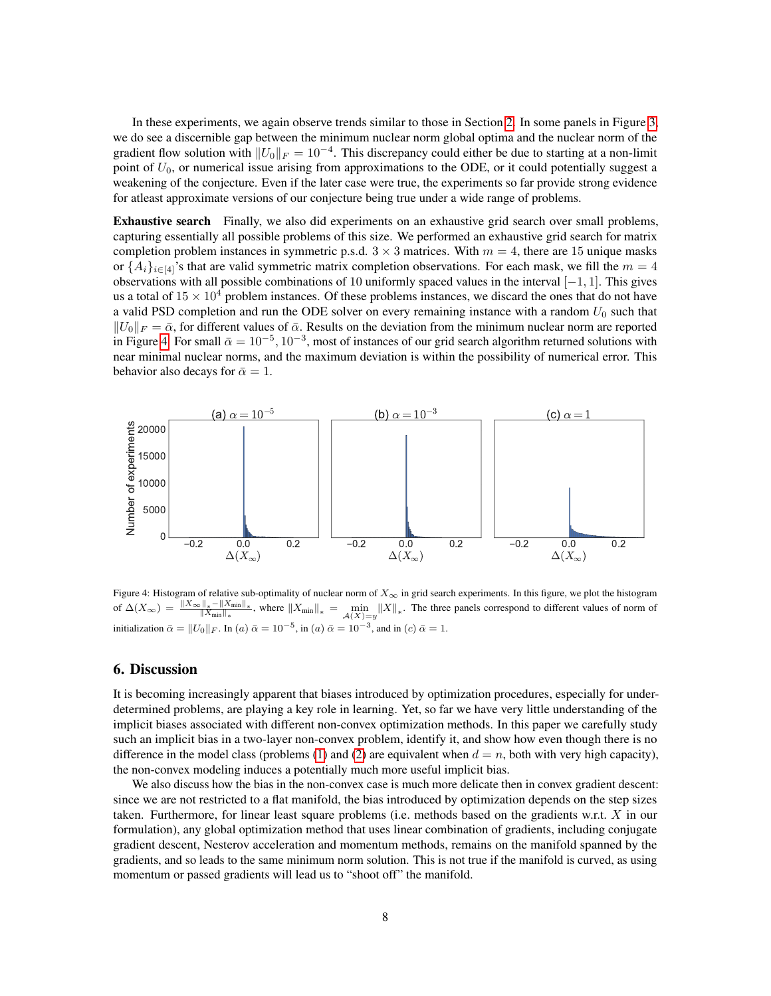In these experiments, we again observe trends similar to those in Section [2.](#page-1-3) In some panels in Figure [3,](#page-6-0) we do see a discernible gap between the minimum nuclear norm global optima and the nuclear norm of the gradient flow solution with  $||U_0||_F = 10^{-4}$ . This discrepancy could either be due to starting at a non-limit point of  $U_0$ , or numerical issue arising from approximations to the ODE, or it could potentially suggest a weakening of the conjecture. Even if the later case were true, the experiments so far provide strong evidence for atleast approximate versions of our conjecture being true under a wide range of problems.

Exhaustive search Finally, we also did experiments on an exhaustive grid search over small problems, capturing essentially all possible problems of this size. We performed an exhaustive grid search for matrix completion problem instances in symmetric p.s.d.  $3 \times 3$  matrices. With  $m = 4$ , there are 15 unique masks or  $\{A_i\}_{i\in[4]}$ 's that are valid symmetric matrix completion observations. For each mask, we fill the  $m=4$ observations with all possible combinations of 10 uniformly spaced values in the interval [−1, 1]. This gives us a total of  $15 \times 10^4$  problem instances. Of these problems instances, we discard the ones that do not have a valid PSD completion and run the ODE solver on every remaining instance with a random  $U_0$  such that  $||U_0||_F = \bar{\alpha}$ , for different values of  $\bar{\alpha}$ . Results on the deviation from the minimum nuclear norm are reported in Figure [4.](#page-7-0) For small  $\bar{\alpha} = 10^{-5}$ ,  $10^{-3}$ , most of instances of our grid search algorithm returned solutions with near minimal nuclear norms, and the maximum deviation is within the possibility of numerical error. This behavior also decays for  $\bar{\alpha} = 1$ .

<span id="page-7-0"></span>

Figure 4: Histogram of relative sub-optimality of nuclear norm of  $X_{\infty}$  in grid search experiments. In this figure, we plot the histogram of  $\Delta(X_{\infty}) = \frac{\|X_{\infty}\|_{*}-\|X_{\min}\|_{*}}{\|X_{\min}\|_{*}}$ , where  $\|X_{\min}\|_{*} = \min_{\mathcal{A}(X)=y} \|X\|_{*}$ . The three panels correspond to different values of norm of initialization  $\bar{\alpha} = ||U_0||_F$ . In  $(a) \bar{\alpha} = 10^{-5}$ , in  $(a) \bar{\alpha} = 10^{-3}$ , and in  $(c) \bar{\alpha} = 1$ .

#### 6. Discussion

It is becoming increasingly apparent that biases introduced by optimization procedures, especially for underdetermined problems, are playing a key role in learning. Yet, so far we have very little understanding of the implicit biases associated with different non-convex optimization methods. In this paper we carefully study such an implicit bias in a two-layer non-convex problem, identify it, and show how even though there is no difference in the model class (problems [\(1\)](#page-1-0) and [\(2\)](#page-1-1) are equivalent when  $d = n$ , both with very high capacity), the non-convex modeling induces a potentially much more useful implicit bias.

We also discuss how the bias in the non-convex case is much more delicate then in convex gradient descent: since we are not restricted to a flat manifold, the bias introduced by optimization depends on the step sizes taken. Furthermore, for linear least square problems (i.e. methods based on the gradients w.r.t.  $X$  in our formulation), any global optimization method that uses linear combination of gradients, including conjugate gradient descent, Nesterov acceleration and momentum methods, remains on the manifold spanned by the gradients, and so leads to the same minimum norm solution. This is not true if the manifold is curved, as using momentum or passed gradients will lead us to "shoot off" the manifold.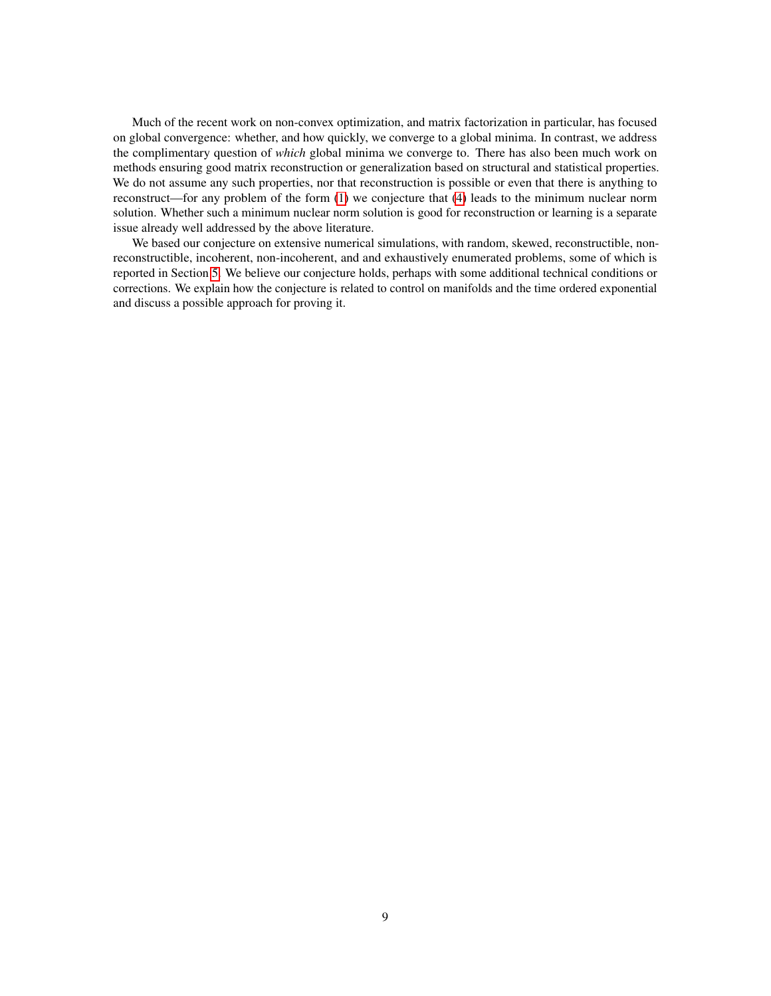Much of the recent work on non-convex optimization, and matrix factorization in particular, has focused on global convergence: whether, and how quickly, we converge to a global minima. In contrast, we address the complimentary question of *which* global minima we converge to. There has also been much work on methods ensuring good matrix reconstruction or generalization based on structural and statistical properties. We do not assume any such properties, nor that reconstruction is possible or even that there is anything to reconstruct—for any problem of the form [\(1\)](#page-1-0) we conjecture that [\(4\)](#page-3-2) leads to the minimum nuclear norm solution. Whether such a minimum nuclear norm solution is good for reconstruction or learning is a separate issue already well addressed by the above literature.

We based our conjecture on extensive numerical simulations, with random, skewed, reconstructible, nonreconstructible, incoherent, non-incoherent, and and exhaustively enumerated problems, some of which is reported in Section [5.](#page-5-0) We believe our conjecture holds, perhaps with some additional technical conditions or corrections. We explain how the conjecture is related to control on manifolds and the time ordered exponential and discuss a possible approach for proving it.